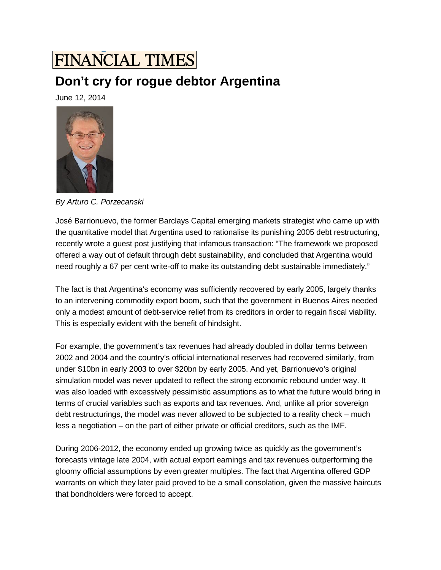## **FINANCIAL TIMES**

## **Don't cry for rogue debtor Argentina**

June 12, 2014



*By Arturo C. Porzecanski*

José Barrionuevo, the former Barclays Capital emerging markets strategist who came up with the quantitative model that Argentina used to rationalise its punishing 2005 debt restructuring, recently wrote a guest post justifying that infamous transaction: "The framework we proposed offered a way out of default through debt sustainability, and concluded that Argentina would need roughly a 67 per cent write-off to make its outstanding debt sustainable immediately."

The fact is that Argentina's economy was sufficiently recovered by early 2005, largely thanks to an intervening commodity export boom, such that the government in Buenos Aires needed only a modest amount of debt-service relief from its creditors in order to regain fiscal viability. This is especially evident with the benefit of hindsight.

For example, the government's tax revenues had already doubled in dollar terms between 2002 and 2004 and the country's official international reserves had recovered similarly, from under \$10bn in early 2003 to over \$20bn by early 2005. And yet, Barrionuevo's original simulation model was never updated to reflect the strong economic rebound under way. It was also loaded with excessively pessimistic assumptions as to what the future would bring in terms of crucial variables such as exports and tax revenues. And, unlike all prior sovereign debt restructurings, the model was never allowed to be subjected to a reality check – much less a negotiation – on the part of either private or official creditors, such as the IMF.

During 2006-2012, the economy ended up growing twice as quickly as the government's forecasts vintage late 2004, with actual export earnings and tax revenues outperforming the gloomy official assumptions by even greater multiples. The fact that Argentina offered GDP warrants on which they later paid proved to be a small consolation, given the massive haircuts that bondholders were forced to accept.